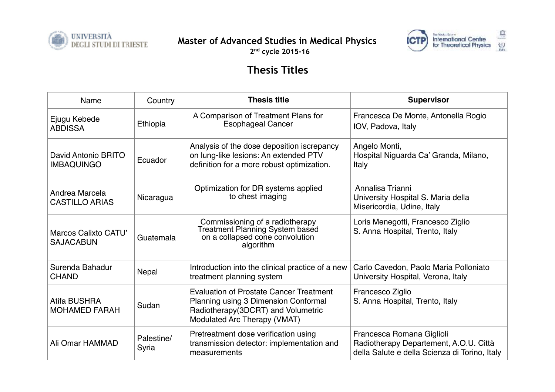

**Master of Advanced Studies in Medical Physics** 



**2nd cycle 2015-16**

## **Thesis Titles**

| Name                                            | Country             | <b>Thesis title</b>                                                                                                                                          | <b>Supervisor</b>                                                                                                    |
|-------------------------------------------------|---------------------|--------------------------------------------------------------------------------------------------------------------------------------------------------------|----------------------------------------------------------------------------------------------------------------------|
| Ejugu Kebede<br><b>ABDISSA</b>                  | Ethiopia            | A Comparison of Treatment Plans for<br><b>Esophageal Cancer</b>                                                                                              | Francesca De Monte, Antonella Rogio<br>IOV, Padova, Italy                                                            |
| David Antonio BRITO<br><b>IMBAQUINGO</b>        | Ecuador             | Analysis of the dose deposition iscrepancy<br>on lung-like lesions: An extended PTV<br>definition for a more robust optimization.                            | Angelo Monti,<br>Hospital Niguarda Ca' Granda, Milano,<br>Italy                                                      |
| Andrea Marcela<br><b>CASTILLO ARIAS</b>         | Nicaragua           | Optimization for DR systems applied<br>to chest imaging                                                                                                      | Annalisa Trianni<br>University Hospital S. Maria della<br>Misericordia, Udine, Italy                                 |
| <b>Marcos Calixto CATU'</b><br><b>SAJACABUN</b> | Guatemala           | Commissioning of a radiotherapy<br>Treatment Planning System based<br>on a collapsed cone convolution<br>algorithm                                           | Loris Menegotti, Francesco Ziglio<br>S. Anna Hospital, Trento, Italy                                                 |
| Surenda Bahadur<br><b>CHAND</b>                 | Nepal               | Introduction into the clinical practice of a new<br>treatment planning system                                                                                | Carlo Cavedon, Paolo Maria Polloniato<br>University Hospital, Verona, Italy                                          |
| <b>Atifa BUSHRA</b><br><b>MOHAMED FARAH</b>     | Sudan               | <b>Evaluation of Prostate Cancer Treatment</b><br>Planning using 3 Dimension Conformal<br>Radiotherapy(3DCRT) and Volumetric<br>Modulated Arc Therapy (VMAT) | Francesco Ziglio<br>S. Anna Hospital, Trento, Italy                                                                  |
| Ali Omar HAMMAD                                 | Palestine/<br>Syria | Pretreatment dose verification using<br>transmission detector: implementation and<br>measurements                                                            | Francesca Romana Giglioli<br>Radiotherapy Departement, A.O.U. Città<br>della Salute e della Scienza di Torino, Italy |